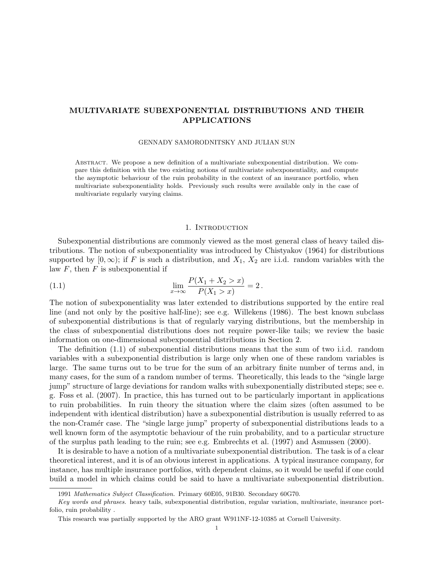# MULTIVARIATE SUBEXPONENTIAL DISTRIBUTIONS AND THEIR APPLICATIONS

#### GENNADY SAMORODNITSKY AND JULIAN SUN

Abstract. We propose a new definition of a multivariate subexponential distribution. We compare this definition with the two existing notions of multivariate subexponentiality, and compute the asymptotic behaviour of the ruin probability in the context of an insurance portfolio, when multivariate subexponentiality holds. Previously such results were available only in the case of multivariate regularly varying claims.

#### 1. INTRODUCTION

Subexponential distributions are commonly viewed as the most general class of heavy tailed distributions. The notion of subexponentiality was introduced by Chistyakov (1964) for distributions supported by  $[0, \infty)$ ; if F is such a distribution, and  $X_1, X_2$  are i.i.d. random variables with the law  $F$ , then  $F$  is subexponential if

(1.1) 
$$
\lim_{x \to \infty} \frac{P(X_1 + X_2 > x)}{P(X_1 > x)} = 2.
$$

The notion of subexponentiality was later extended to distributions supported by the entire real line (and not only by the positive half-line); see e.g. Willekens (1986). The best known subclass of subexponential distributions is that of regularly varying distributions, but the membership in the class of subexponential distributions does not require power-like tails; we review the basic information on one-dimensional subexponential distributions in Section 2.

The definition (1.1) of subexponential distributions means that the sum of two i.i.d. random variables with a subexponential distribution is large only when one of these random variables is large. The same turns out to be true for the sum of an arbitrary finite number of terms and, in many cases, for the sum of a random number of terms. Theoretically, this leads to the "single large jump" structure of large deviations for random walks with subexponentially distributed steps; see e. g. Foss et al. (2007). In practice, this has turned out to be particularly important in applications to ruin probabilities. In ruin theory the situation where the claim sizes (often assumed to be independent with identical distribution) have a subexponential distribution is usually referred to as the non-Cramér case. The "single large jump" property of subexponential distributions leads to a well known form of the asymptotic behaviour of the ruin probability, and to a particular structure of the surplus path leading to the ruin; see e.g. Embrechts et al. (1997) and Asmussen (2000).

It is desirable to have a notion of a multivariate subexponential distribution. The task is of a clear theoretical interest, and it is of an obvious interest in applications. A typical insurance company, for instance, has multiple insurance portfolios, with dependent claims, so it would be useful if one could build a model in which claims could be said to have a multivariate subexponential distribution.

<sup>1991</sup> Mathematics Subject Classification. Primary 60E05, 91B30. Secondary 60G70.

Key words and phrases. heavy tails, subexponential distribution, regular variation, multivariate, insurance portfolio, ruin probability .

This research was partially supported by the ARO grant W911NF-12-10385 at Cornell University.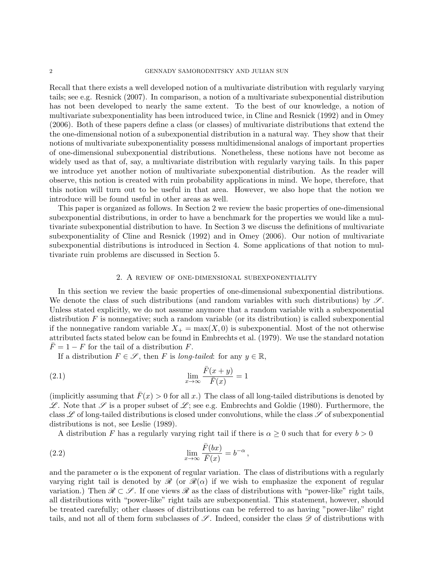Recall that there exists a well developed notion of a multivariate distribution with regularly varying tails; see e.g. Resnick (2007). In comparison, a notion of a multivariate subexponential distribution has not been developed to nearly the same extent. To the best of our knowledge, a notion of multivariate subexponentiality has been introduced twice, in Cline and Resnick (1992) and in Omey (2006). Both of these papers define a class (or classes) of multivariate distributions that extend the the one-dimensional notion of a subexponential distribution in a natural way. They show that their notions of multivariate subexponentiality possess multidimensional analogs of important properties of one-dimensional subexponential distributions. Nonetheless, these notions have not become as widely used as that of, say, a multivariate distribution with regularly varying tails. In this paper we introduce yet another notion of multivariate subexponential distribution. As the reader will observe, this notion is created with ruin probability applications in mind. We hope, therefore, that this notion will turn out to be useful in that area. However, we also hope that the notion we introduce will be found useful in other areas as well.

This paper is organized as follows. In Section 2 we review the basic properties of one-dimensional subexponential distributions, in order to have a benchmark for the properties we would like a multivariate subexponential distribution to have. In Section 3 we discuss the definitions of multivariate subexponentiality of Cline and Resnick (1992) and in Omey (2006). Our notion of multivariate subexponential distributions is introduced in Section 4. Some applications of that notion to multivariate ruin problems are discussed in Section 5.

### 2. A review of one-dimensional subexponentiality

In this section we review the basic properties of one-dimensional subexponential distributions. We denote the class of such distributions (and random variables with such distributions) by  $\mathscr{S}$ . Unless stated explicitly, we do not assume anymore that a random variable with a subexponential distribution  $F$  is nonnegative; such a random variable (or its distribution) is called subexponential if the nonnegative random variable  $X_+ = \max(X, 0)$  is subexponential. Most of the not otherwise attributed facts stated below can be found in Embrechts et al. (1979). We use the standard notation  $F = 1 - F$  for the tail of a distribution F.

If a distribution  $F \in \mathscr{S}$ , then F is long-tailed: for any  $y \in \mathbb{R}$ ,

(2.1) 
$$
\lim_{x \to \infty} \frac{\bar{F}(x+y)}{\bar{F}(x)} = 1
$$

(implicitly assuming that  $\bar{F}(x) > 0$  for all x.) The class of all long-tailed distributions is denoted by  $\mathscr{L}$ . Note that  $\mathscr{S}$  is a proper subset of  $\mathscr{L}$ ; see e.g. Embrechts and Goldie (1980). Furthermore, the class  $\mathscr L$  of long-tailed distributions is closed under convolutions, while the class  $\mathscr L$  of subexponential distributions is not, see Leslie (1989).

A distribution F has a regularly varying right tail if there is  $\alpha \geq 0$  such that for every  $b > 0$ 

,

(2.2) 
$$
\lim_{x \to \infty} \frac{\bar{F}(bx)}{\bar{F}(x)} = b^{-\alpha}
$$

and the parameter  $\alpha$  is the exponent of regular variation. The class of distributions with a regularly varying right tail is denoted by  $\mathscr{R}$  (or  $\mathscr{R}(\alpha)$ ) if we wish to emphasize the exponent of regular variation.) Then  $\mathcal{R} \subset \mathcal{S}$ . If one views  $\mathcal{R}$  as the class of distributions with "power-like" right tails, all distributions with "power-like" right tails are subexponential. This statement, however, should be treated carefully; other classes of distributions can be referred to as having "power-like" right tails, and not all of them form subclasses of  $\mathscr{S}$ . Indeed, consider the class  $\mathscr{D}$  of distributions with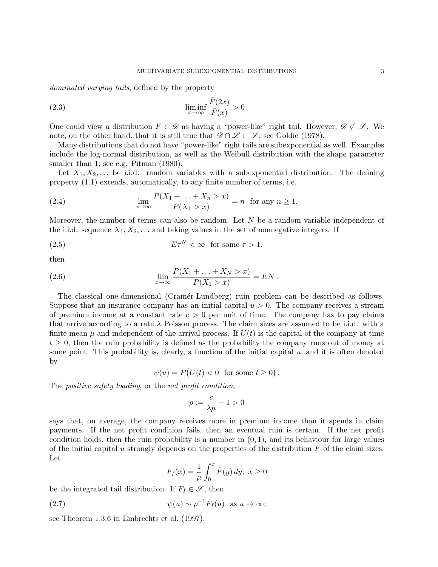dominated varying tails, defined by the property

(2.3) 
$$
\liminf_{x \to \infty} \frac{\bar{F}(2x)}{\bar{F}(x)} > 0.
$$

One could view a distribution  $F \in \mathscr{D}$  as having a "power-like" right tail. However,  $\mathscr{D} \not\subset \mathscr{S}$ . We note, on the other hand, that it is still true that  $\mathscr{D} \cap \mathscr{L} \subset \mathscr{S}$ ; see Goldie (1978).

Many distributions that do not have "power-like" right tails are subexponential as well. Examples include the log-normal distribution, as well as the Weibull distribution with the shape parameter smaller than 1; see e.g. Pitman (1980).

Let  $X_1, X_2, \ldots$  be i.i.d. random variables with a subexponential distribution. The defining property (1.1) extends, automatically, to any finite number of terms, i.e.

(2.4) 
$$
\lim_{x \to \infty} \frac{P(X_1 + \dots + X_n > x)}{P(X_1 > x)} = n \text{ for any } n \ge 1.
$$

Moreover, the number of terms can also be random. Let N be a random variable independent of the i.i.d. sequence  $X_1, X_2, \ldots$  and taking values in the set of nonnegative integers. If

(2.5) 
$$
E\tau^N < \infty \text{ for some } \tau > 1,
$$

then

(2.6) 
$$
\lim_{x \to \infty} \frac{P(X_1 + \dots + X_N > x)}{P(X_1 > x)} = EN.
$$

The classical one-dimensional (Cramér-Lundberg) ruin problem can be described as follows. Suppose that an insurance company has an initial capital  $u > 0$ . The company receives a stream of premium income at a constant rate  $c > 0$  per unit of time. The company has to pay claims that arrive according to a rate  $\lambda$  Poisson process. The claim sizes are assumed to be i.i.d. with a finite mean  $\mu$  and independent of the arrival process. If  $U(t)$  is the capital of the company at time  $t \geq 0$ , then the ruin probability is defined as the probability the company runs out of money at some point. This probability is, clearly, a function of the initial capital  $u$ , and it is often denoted by

 $\psi(u) = P(U(t) < 0 \text{ for some } t \geq 0).$ 

The *positive safety loading*, or the *net profit condition*,

$$
\rho:=\frac{c}{\lambda\mu}-1>0
$$

says that, on average, the company receives more in premium income than it spends in claim payments. If the net profit condition fails, then an eventual ruin is certain. If the net profit condition holds, then the ruin probability is a number in  $(0, 1)$ , and its behaviour for large values of the initial capital u strongly depends on the properties of the distribution  $F$  of the claim sizes. Let

$$
F_I(x) = \frac{1}{\mu} \int_0^x \bar{F}(y) \, dy, \ x \ge 0
$$

be the integrated tail distribution. If  $F_I \in \mathscr{S}$ , then

(2.7) 
$$
\psi(u) \sim \rho^{-1} F_I(u) \text{ as } u \to \infty;
$$

see Theorem 1.3.6 in Embrechts et al. (1997).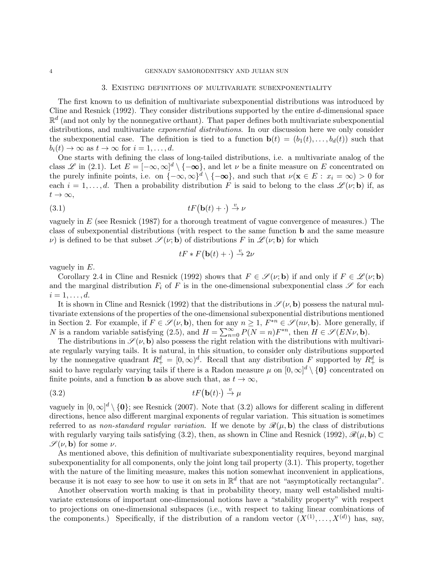#### 3. Existing definitions of multivariate subexponentiality

The first known to us definition of multivariate subexponential distributions was introduced by Cline and Resnick (1992). They consider distributions supported by the entire d-dimensional space  $\mathbb{R}^d$  (and not only by the nonnegative orthant). That paper defines both multivariate subexponential distributions, and multivariate *exponential distributions*. In our discussion here we only consider the subexponential case. The definition is tied to a function  $\mathbf{b}(t) = (b_1(t), \ldots, b_d(t))$  such that  $b_i(t) \to \infty$  as  $t \to \infty$  for  $i = 1, \ldots, d$ .

One starts with defining the class of long-tailed distributions, i.e. a multivariate analog of the class L in (2.1). Let  $E = [-\infty, \infty]^d \setminus \{-\infty\}$ , and let  $\nu$  be a finite measure on E concentrated on the purely infinite points, i.e. on  $\{-\infty,\infty\}^d \setminus \{-\infty\}$ , and such that  $\nu(\mathbf{x} \in E : x_i = \infty) > 0$  for each  $i = 1, \ldots, d$ . Then a probability distribution F is said to belong to the class  $\mathscr{L}(\nu; \mathbf{b})$  if, as  $t\to\infty,$ 

$$
(3.1) \t\t\t tF(\mathbf{b}(t)+\cdot) \stackrel{v}{\to} \nu
$$

vaguely in  $E$  (see Resnick (1987) for a thorough treatment of vague convergence of measures.) The class of subexponential distributions (with respect to the same function b and the same measure v) is defined to be that subset  $\mathscr{S}(\nu; \mathbf{b})$  of distributions F in  $\mathscr{L}(\nu; \mathbf{b})$  for which

$$
tF * F(\mathbf{b}(t) + \cdot) \stackrel{v}{\to} 2\nu
$$

vaguely in  $E$ .

Corollary 2.4 in Cline and Resnick (1992) shows that  $F \in \mathscr{S}(\nu; \mathbf{b})$  if and only if  $F \in \mathscr{L}(\nu; \mathbf{b})$ and the marginal distribution  $F_i$  of F is in the one-dimensional subexponential class  $\mathscr S$  for each  $i=1,\ldots,d.$ 

It is shown in Cline and Resnick (1992) that the distributions in  $\mathscr{S}(\nu, \mathbf{b})$  possess the natural multivariate extensions of the properties of the one-dimensional subexponential distributions mentioned in Section 2. For example, if  $F \in \mathscr{S}(\nu, \mathbf{b})$ , then for any  $n \geq 1$ ,  $F^{*n} \in \mathscr{S}(n\nu, \mathbf{b})$ . More generally, if N is a random variable satisfying (2.5), and  $H = \sum_{n=0}^{\infty} P(N = n)F^{*n}$ , then  $H \in \mathscr{S}(E N \nu, \mathbf{b})$ .

The distributions in  $\mathscr{S}(\nu, \mathbf{b})$  also possess the right relation with the distributions with multivariate regularly varying tails. It is natural, in this situation, to consider only distributions supported by the nonnegative quadrant  $R_+^d = [0, \infty)^d$ . Recall that any distribution F supported by  $R_+^d$  is said to have regularly varying tails if there is a Radon measure  $\mu$  on  $[0,\infty]^d \setminus \{0\}$  concentrated on finite points, and a function **b** as above such that, as  $t \to \infty$ ,

$$
(3.2) \t\t tF(\mathbf{b}(t)\cdot) \xrightarrow{v} \mu
$$

vaguely in  $[0,\infty]^d \setminus \{\mathbf{0}\}$ ; see Resnick (2007). Note that (3.2) allows for different scaling in different directions, hence also different marginal exponents of regular variation. This situation is sometimes referred to as non-standard regular variation. If we denote by  $\mathcal{R}(\mu, \mathbf{b})$  the class of distributions with regularly varying tails satisfying (3.2), then, as shown in Cline and Resnick (1992),  $\mathscr{R}(\mu, \mathbf{b}) \subset$  $\mathscr{S}(\nu, \mathbf{b})$  for some  $\nu$ .

As mentioned above, this definition of multivariate subexponentiality requires, beyond marginal subexponentiality for all components, only the joint long tail property (3.1). This property, together with the nature of the limiting measure, makes this notion somewhat inconvenient in applications, because it is not easy to see how to use it on sets in  $\mathbb{R}^d$  that are not "asymptotically rectangular".

Another observation worth making is that in probability theory, many well established multivariate extensions of important one-dimensional notions have a "stability property" with respect to projections on one-dimensional subspaces (i.e., with respect to taking linear combinations of the components.) Specifically, if the distribution of a random vector  $(X^{(1)},...,X^{(d)})$  has, say,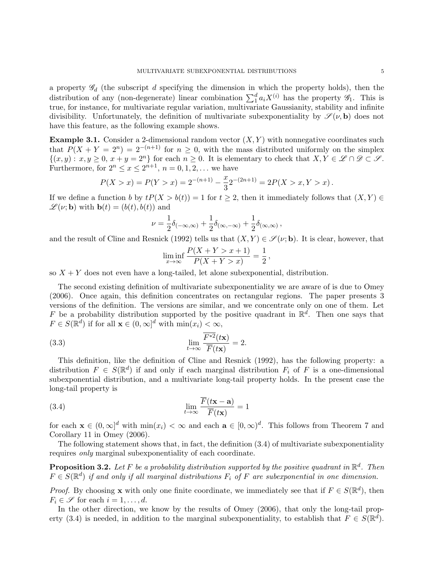a property  $\mathscr{G}_d$  (the subscript d specifying the dimension in which the property holds), then the distribution of any (non-degenerate) linear combination  $\sum_1^d a_i X^{(i)}$  has the property  $\mathscr{G}_1$ . This is true, for instance, for multivariate regular variation, multivariate Gaussianity, stability and infinite divisibility. Unfortunately, the definition of multivariate subexponentiality by  $\mathscr{S}(\nu, \mathbf{b})$  does not have this feature, as the following example shows.

**Example 3.1.** Consider a 2-dimensional random vector  $(X, Y)$  with nonnegative coordinates such that  $P(X + Y = 2^n) = 2^{-(n+1)}$  for  $n \geq 0$ , with the mass distributed uniformly on the simplex  $\{(x, y): x, y \ge 0, x + y = 2^n\}$  for each  $n \ge 0$ . It is elementary to check that  $X, Y \in \mathcal{L} \cap \mathcal{D} \subset \mathcal{S}$ . Furthermore, for  $2^n \le x \le 2^{n+1}$ ,  $n = 0, 1, 2, \ldots$  we have

$$
P(X > x) = P(Y > x) = 2^{-(n+1)} - \frac{x}{3}2^{-(2n+1)} = 2P(X > x, Y > x).
$$

If we define a function b by  $tP(X > b(t)) = 1$  for  $t \geq 2$ , then it immediately follows that  $(X, Y) \in$  $\mathscr{L}(\nu; \mathbf{b})$  with  $\mathbf{b}(t) = (b(t), b(t))$  and

$$
\nu = \frac{1}{2}\delta_{(-\infty,\infty)} + \frac{1}{2}\delta_{(\infty,-\infty)} + \frac{1}{2}\delta_{(\infty,\infty)},
$$

and the result of Cline and Resnick (1992) tells us that  $(X, Y) \in \mathscr{S}(\nu; \mathbf{b})$ . It is clear, however, that

$$
\liminf_{x \to \infty} \frac{P(X + Y > x + 1)}{P(X + Y > x)} = \frac{1}{2}
$$

,

so  $X + Y$  does not even have a long-tailed, let alone subexponential, distribution.

The second existing definition of multivariate subexponentiality we are aware of is due to Omey (2006). Once again, this definition concentrates on rectangular regions. The paper presents 3 versions of the definition. The versions are similar, and we concentrate only on one of them. Let F be a probability distribution supported by the positive quadrant in  $\mathbb{R}^d$ . Then one says that  $F \in S(\mathbb{R}^d)$  if for all  $\mathbf{x} \in (0,\infty]^d$  with  $\min(x_i) < \infty$ ,

(3.3) 
$$
\lim_{t \to \infty} \frac{\overline{F^{*2}}(t\mathbf{x})}{\overline{F}(t\mathbf{x})} = 2.
$$

This definition, like the definition of Cline and Resnick (1992), has the following property: a distribution  $F \in S(\mathbb{R}^d)$  if and only if each marginal distribution  $F_i$  of F is a one-dimensional subexponential distribution, and a multivariate long-tail property holds. In the present case the long-tail property is

(3.4) 
$$
\lim_{t \to \infty} \frac{\overline{F}(t\mathbf{x} - \mathbf{a})}{\overline{F}(t\mathbf{x})} = 1
$$

for each  $\mathbf{x} \in (0,\infty]^d$  with  $\min(x_i) < \infty$  and each  $\mathbf{a} \in (0,\infty)^d$ . This follows from Theorem 7 and Corollary 11 in Omey (2006).

The following statement shows that, in fact, the definition (3.4) of multivariate subexponentiality requires only marginal subexponentiality of each coordinate.

**Proposition 3.2.** Let F be a probability distribution supported by the positive quadrant in  $\mathbb{R}^d$ . Then  $F \in S(\mathbb{R}^d)$  if and only if all marginal distributions  $F_i$  of F are subexponential in one dimension.

*Proof.* By choosing **x** with only one finite coordinate, we immediately see that if  $F \in S(\mathbb{R}^d)$ , then  $F_i \in \mathscr{S}$  for each  $i = 1, \ldots, d$ .

In the other direction, we know by the results of Omey (2006), that only the long-tail property (3.4) is needed, in addition to the marginal subexponentiality, to establish that  $F \in S(\mathbb{R}^d)$ .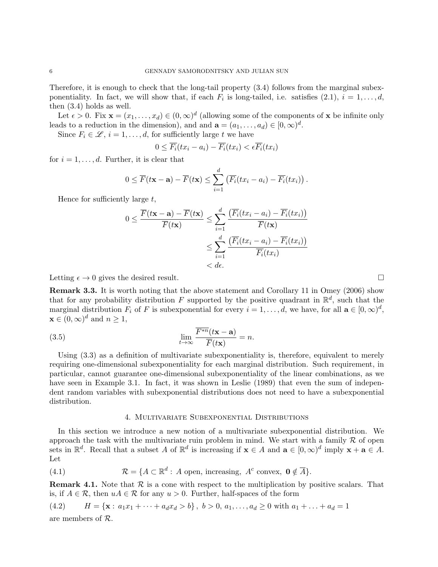Therefore, it is enough to check that the long-tail property (3.4) follows from the marginal subexponentiality. In fact, we will show that, if each  $F_i$  is long-tailed, i.e. satisfies  $(2.1)$ ,  $i = 1, \ldots, d$ , then (3.4) holds as well.

Let  $\epsilon > 0$ . Fix  $\mathbf{x} = (x_1, \dots, x_d) \in (0, \infty)^d$  (allowing some of the components of x be infinite only leads to a reduction in the dimension), and and  $\mathbf{a} = (a_1, \dots, a_d) \in [0, \infty)^d$ .

Since  $F_i \in \mathcal{L}, i = 1, \ldots, d$ , for sufficiently large t we have

$$
0 \leq \overline{F_i}(tx_i - a_i) - \overline{F_i}(tx_i) < \epsilon \overline{F_i}(tx_i)
$$

for  $i = 1, \ldots, d$ . Further, it is clear that

$$
0 \leq \overline{F}(t\mathbf{x}-\mathbf{a}) - \overline{F}(t\mathbf{x}) \leq \sum_{i=1}^d \left( \overline{F_i}(tx_i - a_i) - \overline{F_i}(tx_i) \right).
$$

Hence for sufficiently large  $t$ ,

$$
0 \leq \frac{\overline{F}(t\mathbf{x} - \mathbf{a}) - \overline{F}(t\mathbf{x})}{\overline{F}(t\mathbf{x})} \leq \sum_{i=1}^{d} \frac{(\overline{F_i}(t x_i - a_i) - \overline{F_i}(t x_i))}{\overline{F}(t\mathbf{x})}
$$

$$
\leq \sum_{i=1}^{d} \frac{(\overline{F_i}(t x_i - a_i) - \overline{F_i}(t x_i))}{\overline{F_i}(t x_i)}
$$

$$
< d\epsilon.
$$

Letting  $\epsilon \to 0$  gives the desired result.

Remark 3.3. It is worth noting that the above statement and Corollary 11 in Omey (2006) show that for any probability distribution F supported by the positive quadrant in  $\mathbb{R}^d$ , such that the marginal distribution  $F_i$  of F is subexponential for every  $i = 1, \ldots, d$ , we have, for all  $\mathbf{a} \in [0, \infty)^d$ ,  $\mathbf{x} \in (0,\infty)^d$  and  $n \geq 1$ ,

(3.5) 
$$
\lim_{t \to \infty} \frac{\overline{F^{*n}}(t\mathbf{x} - \mathbf{a})}{\overline{F}(t\mathbf{x})} = n.
$$

Using (3.3) as a definition of multivariate subexponentiality is, therefore, equivalent to merely requiring one-dimensional subexponentiality for each marginal distribution. Such requirement, in particular, cannot guarantee one-dimensional subexponentiality of the linear combinations, as we have seen in Example 3.1. In fact, it was shown in Leslie (1989) that even the sum of independent random variables with subexponential distributions does not need to have a subexponential distribution.

# 4. Multivariate Subexponential Distributions

In this section we introduce a new notion of a multivariate subexponential distribution. We approach the task with the multivariate ruin problem in mind. We start with a family  $R$  of open sets in  $\mathbb{R}^d$ . Recall that a subset A of  $\mathbb{R}^d$  is increasing if  $\mathbf{x} \in A$  and  $\mathbf{a} \in [0,\infty)^d$  imply  $\mathbf{x} + \mathbf{a} \in A$ . Let

(4.1) 
$$
\mathcal{R} = \{A \subset \mathbb{R}^d : A \text{ open, increasing, } A^c \text{ convex, } \mathbf{0} \notin \overline{A}\}.
$$

**Remark 4.1.** Note that  $\mathcal{R}$  is a cone with respect to the multiplication by positive scalars. That is, if  $A \in \mathcal{R}$ , then  $uA \in \mathcal{R}$  for any  $u > 0$ . Further, half-spaces of the form

(4.2) 
$$
H = \{ \mathbf{x} : a_1 x_1 + \dots + a_d x_d > b \}, b > 0, a_1, \dots, a_d \ge 0 \text{ with } a_1 + \dots + a_d = 1
$$

are members of R.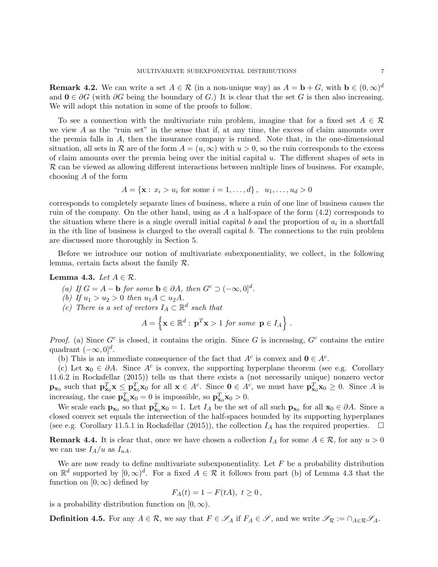**Remark 4.2.** We can write a set  $A \in \mathcal{R}$  (in a non-unique way) as  $A = \mathbf{b} + G$ , with  $\mathbf{b} \in (0, \infty)^d$ and  $0 \in \partial G$  (with  $\partial G$  being the boundary of G.) It is clear that the set G is then also increasing. We will adopt this notation in some of the proofs to follow.

To see a connection with the multivariate ruin problem, imagine that for a fixed set  $A \in \mathcal{R}$ we view A as the "ruin set" in the sense that if, at any time, the excess of claim amounts over the premia falls in  $A$ , then the insurance company is ruined. Note that, in the one-dimensional situation, all sets in R are of the form  $A = (u, \infty)$  with  $u > 0$ , so the ruin corresponds to the excess of claim amounts over the premia being over the initial capital  $u$ . The different shapes of sets in  $\mathcal R$  can be viewed as allowing different interactions between multiple lines of business. For example, choosing A of the form

$$
A = \{ \mathbf{x} : x_i > u_i \text{ for some } i = 1, ..., d \}, \quad u_1, ..., u_d > 0
$$

corresponds to completely separate lines of business, where a ruin of one line of business causes the ruin of the company. On the other hand, using as  $A$  a half-space of the form  $(4.2)$  corresponds to the situation where there is a single overall initial capital  $b$  and the proportion of  $a_i$  in a shortfall in the ith line of business is charged to the overall capital b. The connections to the ruin problem are discussed more thoroughly in Section 5.

Before we introduce our notion of multivariate subexponentiality, we collect, in the following lemma, certain facts about the family R.

### Lemma 4.3. Let  $A \in \mathcal{R}$ .

- (a) If  $G = A \mathbf{b}$  for some  $\mathbf{b} \in \partial A$ , then  $G^c \supset (-\infty, 0]^d$ .
- (b) If  $u_1 > u_2 > 0$  then  $u_1 A \subset u_2 A$ .
- (c) There is a set of vectors  $I_A \subset \mathbb{R}^d$  such that

$$
A = \left\{ \mathbf{x} \in \mathbb{R}^d : \mathbf{p}^T \mathbf{x} > 1 \text{ for some } \mathbf{p} \in I_A \right\}.
$$

Proof. (a) Since  $G^c$  is closed, it contains the origin. Since G is increasing,  $G^c$  contains the entire quadrant  $(-\infty, 0]^d$ .

(b) This is an immediate consequence of the fact that  $A^c$  is convex and  $\mathbf{0} \in A^c$ .

(c) Let  $\mathbf{x}_0 \in \partial A$ . Since  $A^c$  is convex, the supporting hyperplane theorem (see e.g. Corollary 11.6.2 in Rockafellar (2015)) tells us that there exists a (not necessarily unique) nonzero vector  $\mathbf{p}_{\mathbf{x}_0}$  such that  $\mathbf{p}_{\mathbf{x}_0}^T \mathbf{x} \leq \mathbf{p}_{\mathbf{x}_0}^T \mathbf{x}_0$  for all  $\mathbf{x} \in A^c$ . Since  $\mathbf{0} \in A^c$ , we must have  $\mathbf{p}_{\mathbf{x}_0}^T \mathbf{x}_0 \geq 0$ . Since A is increasing, the case  $\mathbf{p}_{\mathbf{x}_0}^T \mathbf{x}_0 = 0$  is impossible, so  $\mathbf{p}_{\mathbf{x}_0}^T \mathbf{x}_0 > 0$ .

We scale each  $\mathbf{p}_{\mathbf{x}_0}$  so that  $\mathbf{p}_{\mathbf{x}_0}^T \mathbf{x}_0 = 1$ . Let  $I_A$  be the set of all such  $\mathbf{p}_{\mathbf{x}_0}$  for all  $\mathbf{x}_0 \in \partial A$ . Since a closed convex set equals the intersection of the half-spaces bounded by its supporting hyperplanes (see e.g. Corollary 11.5.1 in Rockafellar (2015)), the collection  $I_A$  has the required properties.  $\Box$ 

**Remark 4.4.** It is clear that, once we have chosen a collection  $I_A$  for some  $A \in \mathcal{R}$ , for any  $u > 0$ we can use  $I_A/u$  as  $I_{uA}$ .

We are now ready to define multivariate subexponentiality. Let  $F$  be a probability distribution on  $\mathbb{R}^d$  supported by  $[0,\infty)^d$ . For a fixed  $A \in \mathcal{R}$  it follows from part (b) of Lemma 4.3 that the function on  $[0, \infty)$  defined by

$$
F_A(t) = 1 - F(tA), t \ge 0,
$$

is a probability distribution function on  $[0, \infty)$ .

**Definition 4.5.** For any  $A \in \mathcal{R}$ , we say that  $F \in \mathscr{S}_A$  if  $F_A \in \mathscr{S}$ , and we write  $\mathscr{S}_{\mathcal{R}} := \cap_{A \in \mathcal{R}} \mathscr{S}_A$ .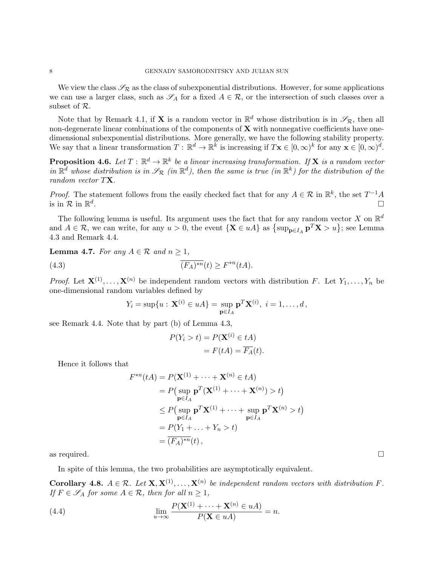We view the class  $\mathscr{S}_R$  as the class of subexponential distributions. However, for some applications we can use a larger class, such as  $\mathscr{S}_A$  for a fixed  $A \in \mathcal{R}$ , or the intersection of such classes over a subset of R.

Note that by Remark 4.1, if **X** is a random vector in  $\mathbb{R}^d$  whose distribution is in  $\mathscr{S}_{\mathcal{R}}$ , then all non-degenerate linear combinations of the components of  $X$  with nonnegative coefficients have onedimensional subexponential distributions. More generally, we have the following stability property. We say that a linear transformation  $T : \mathbb{R}^d \to \mathbb{R}^{\bar{k}}$  is increasing if  $T\mathbf{x} \in [0,\infty)^k$  for any  $\mathbf{x} \in [0,\infty)^d$ .

**Proposition 4.6.** Let  $T : \mathbb{R}^d \to \mathbb{R}^k$  be a linear increasing transformation. If **X** is a random vector in  $\mathbb{R}^d$  whose distribution is in  $\mathscr{S}_{\mathcal{R}}$  (in  $\mathbb{R}^d$ ), then the same is true (in  $\mathbb{R}^k$ ) for the distribution of the random vector TX.

*Proof.* The statement follows from the easily checked fact that for any  $A \in \mathcal{R}$  in  $\mathbb{R}^k$ , the set  $T^{-1}A$ is in  $\mathcal{R}$  in  $\mathbb{R}^d$ .<br>. In the second control of the second control of the second control of the second control of the second control

The following lemma is useful. Its argument uses the fact that for any random vector X on  $\mathbb{R}^d$ and  $A \in \mathcal{R}$ , we can write, for any  $u > 0$ , the event  $\{X \in uA\}$  as  $\{\sup_{\mathbf{p} \in I_A} \mathbf{p}^T X > u\}$ ; see Lemma 4.3 and Remark 4.4.

**Lemma 4.7.** For any  $A \in \mathcal{R}$  and  $n \geq 1$ ,

(4.3) 
$$
\overline{(F_A)^{*n}}(t) \ge F^{*n}(tA).
$$

*Proof.* Let  $X^{(1)}, \ldots, X^{(n)}$  be independent random vectors with distribution F. Let  $Y_1, \ldots, Y_n$  be one-dimensional random variables defined by

$$
Y_i = \sup\{u : \mathbf{X}^{(i)} \in uA\} = \sup_{\mathbf{p} \in I_A} \mathbf{p}^T \mathbf{X}^{(i)}, \ i = 1, \dots, d,
$$

see Remark 4.4. Note that by part (b) of Lemma 4.3,

$$
P(Y_i > t) = P(\mathbf{X}^{(i)} \in tA)
$$
  
=  $F(tA) = \overline{F_A}(t).$ 

Hence it follows that

$$
F^{*n}(tA) = P(\mathbf{X}^{(1)} + \dots + \mathbf{X}^{(n)} \in tA)
$$
  
=  $P(\sup_{\mathbf{p} \in I_A} \mathbf{p}^T(\mathbf{X}^{(1)} + \dots + \mathbf{X}^{(n)}) > t)$   
 $\leq P(\sup_{\mathbf{p} \in I_A} \mathbf{p}^T\mathbf{X}^{(1)} + \dots + \sup_{\mathbf{p} \in I_A} \mathbf{p}^T\mathbf{X}^{(n)} > t)$   
=  $P(Y_1 + \dots + Y_n > t)$   
=  $\overline{(F_A)^{*n}}(t)$ ,

as required.  $\square$ 

In spite of this lemma, the two probabilities are asymptotically equivalent.

**Corollary 4.8.**  $A \in \mathcal{R}$ . Let  $\mathbf{X}, \mathbf{X}^{(1)}, \ldots, \mathbf{X}^{(n)}$  be independent random vectors with distribution F. If  $F \in \mathscr{S}_A$  for some  $A \in \mathcal{R}$ , then for all  $n \geq 1$ ,

(4.4) 
$$
\lim_{u \to \infty} \frac{P(\mathbf{X}^{(1)} + \dots + \mathbf{X}^{(n)} \in uA)}{P(\mathbf{X} \in uA)} = n.
$$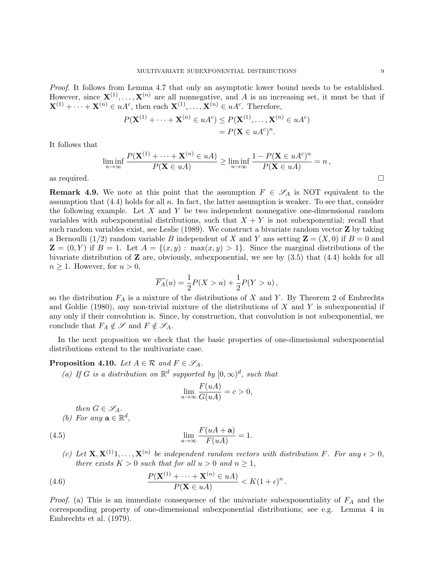Proof. It follows from Lemma 4.7 that only an asymptotic lower bound needs to be established. However, since  $X^{(1)}, \ldots, X^{(n)}$  are all nonnegative, and A is an increasing set, it must be that if  $\mathbf{X}^{(1)} + \cdots + \mathbf{X}^{(n)} \in uA^c$ , then each  $\mathbf{X}^{(1)}, \ldots, \mathbf{X}^{(n)} \in uA^c$ . Therefore,

$$
P(\mathbf{X}^{(1)} + \dots + \mathbf{X}^{(n)} \in uA^c) \le P(\mathbf{X}^{(1)}, \dots, \mathbf{X}^{(n)} \in uA^c)
$$
  
=  $P(\mathbf{X} \in uA^c)^n$ .

It follows that

$$
\liminf_{n \to \infty} \frac{P(\mathbf{X}^{(1)} + \dots + \mathbf{X}^{(n)} \in uA)}{P(\mathbf{X} \in uA)} \ge \liminf_{n \to \infty} \frac{1 - P(\mathbf{X} \in uA^c)^n}{P(\mathbf{X} \in uA)} = n,
$$
\nas required.

**Remark 4.9.** We note at this point that the assumption  $F \in \mathscr{S}_A$  is NOT equivalent to the assumption that  $(4.4)$  holds for all n. In fact, the latter assumption is weaker. To see that, consider the following example. Let X and Y be two independent nonnegative one-dimensional random variables with subexponential distributions, such that  $X + Y$  is not subexponential; recall that such random variables exist, see Leslie  $(1989)$ . We construct a bivariate random vector **Z** by taking a Bernoulli (1/2) random variable B independent of X and Y ans setting  $\mathbf{Z} = (X, 0)$  if  $B = 0$  and  $\mathbf{Z} = (0, Y)$  if  $B = 1$ . Let  $A = \{(x, y) : \max(x, y) > 1\}$ . Since the marginal distributions of the bivariate distribution of  $\mathbf Z$  are, obviously, subexponential, we see by  $(3.5)$  that  $(4.4)$  holds for all  $n \geq 1$ . However, for  $u > 0$ ,

$$
\overline{F_A}(u) = \frac{1}{2}P(X > u) + \frac{1}{2}P(Y > u),
$$

so the distribution  $F_A$  is a mixture of the distributions of X and Y. By Theorem 2 of Embrechts and Goldie (1980), any non-trivial mixture of the distributions of  $X$  and  $Y$  is subexponential if any only if their convolution is. Since, by construction, that convolution is not subexponential, we conclude that  $F_A \notin \mathscr{S}$  and  $F \notin \mathscr{S}_A$ .

In the next proposition we check that the basic properties of one-dimensional subexponential distributions extend to the multivariate case.

# **Proposition 4.10.** Let  $A \in \mathcal{R}$  and  $F \in \mathscr{S}_A$ .

(a) If G is a distribution on  $\mathbb{R}^d$  supported by  $[0,\infty)^d$ , such that

$$
\lim_{u \to \infty} \frac{F(uA)}{G(uA)} = c > 0,
$$

then  $G \in \mathscr{S}_A$ . (b) For any  $\mathbf{a} \in \mathbb{R}^d$ ,

(4.5) 
$$
\lim_{u \to \infty} \frac{F(uA + a)}{F(uA)} = 1.
$$

(c) Let  $\mathbf{X}, \mathbf{X}^{(1)}$ 1,...,  $\mathbf{X}^{(n)}$  be independent random vectors with distribution F. For any  $\epsilon > 0$ , there exists  $K > 0$  such that for all  $u > 0$  and  $n \ge 1$ ,

(4.6) 
$$
\frac{P(\mathbf{X}^{(1)} + \cdots + \mathbf{X}^{(n)} \in uA)}{P(\mathbf{X} \in uA)} < K(1+\epsilon)^n.
$$

*Proof.* (a) This is an immediate consequence of the univariate subexponentiality of  $F_A$  and the corresponding property of one-dimensional subexponential distributions; see e.g. Lemma 4 in Embrechts et al. (1979).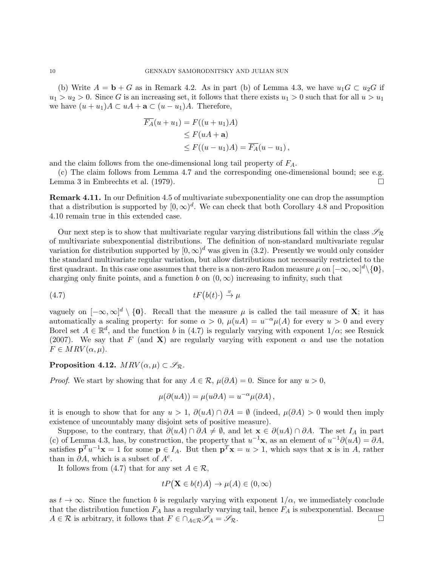(b) Write  $A = \mathbf{b} + G$  as in Remark 4.2. As in part (b) of Lemma 4.3, we have  $u_1G \subset u_2G$  if  $u_1 > u_2 > 0$ . Since G is an increasing set, it follows that there exists  $u_1 > 0$  such that for all  $u > u_1$ we have  $(u + u_1)A \subset uA + \mathbf{a} \subset (u - u_1)A$ . Therefore,

$$
F_A(u+u_1) = F((u+u_1)A)
$$
  
\n
$$
\leq F(uA + a)
$$
  
\n
$$
\leq F((u-u_1)A) = \overline{F_A}(u-u_1),
$$

and the claim follows from the one-dimensional long tail property of  $F_A$ .

(c) The claim follows from Lemma 4.7 and the corresponding one-dimensional bound; see e.g. Lemma 3 in Embrechts et al. (1979).  $\Box$ 

**Remark 4.11.** In our Definition 4.5 of multivariate subexponentiality one can drop the assumption that a distribution is supported by  $[0, \infty)^d$ . We can check that both Corollary 4.8 and Proposition 4.10 remain true in this extended case.

Our next step is to show that multivariate regular varying distributions fall within the class  $\mathscr{S}_{\mathcal{R}}$ of multivariate subexponential distributions. The definition of non-standard multivariate regular variation for distribution supported by  $[0, \infty)^d$  was given in (3.2). Presently we would only consider the standard multivariate regular variation, but allow distributions not necessarily restricted to the first quadrant. In this case one assumes that there is a non-zero Radon measure  $\mu$  on  $[-\infty,\infty]^d\backslash\{\mathbf{0}\},$ charging only finite points, and a function b on  $(0, \infty)$  increasing to infinity, such that

$$
(4.7) \t\t tF(b(t)\cdot) \stackrel{v}{\to} \mu
$$

vaguely on  $[-\infty,\infty]^d \setminus \{0\}$ . Recall that the measure  $\mu$  is called the tail measure of **X**; it has automatically a scaling property: for some  $\alpha > 0$ ,  $\mu(uA) = u^{-\alpha}\mu(A)$  for every  $u > 0$  and every Borel set  $A \in \mathbb{R}^d$ , and the function b in (4.7) is regularly varying with exponent  $1/\alpha$ ; see Resnick (2007). We say that F (and X) are regularly varying with exponent  $\alpha$  and use the notation  $F \in MRV(\alpha, \mu).$ 

Proposition 4.12.  $MRV(\alpha,\mu) \subset \mathscr{S}_{\mathcal{R}}$ .

*Proof.* We start by showing that for any  $A \in \mathcal{R}$ ,  $\mu(\partial A) = 0$ . Since for any  $u > 0$ ,

$$
\mu(\partial(uA)) = \mu(u\partial A) = u^{-\alpha}\mu(\partial A),
$$

it is enough to show that for any  $u > 1$ ,  $\partial(uA) \cap \partial A = \emptyset$  (indeed,  $\mu(\partial A) > 0$  would then imply existence of uncountably many disjoint sets of positive measure).

Suppose, to the contrary, that  $\partial(uA) \cap \partial A \neq \emptyset$ , and let  $\mathbf{x} \in \partial(uA) \cap \partial A$ . The set  $I_A$  in part (c) of Lemma 4.3, has, by construction, the property that  $u^{-1}\mathbf{x}$ , as an element of  $u^{-1}\partial(uA) = \partial A$ , satisfies  $\mathbf{p}^T u^{-1} \mathbf{x} = 1$  for some  $\mathbf{p} \in I_A$ . But then  $\mathbf{p}^T \mathbf{x} = u > 1$ , which says that  $\mathbf{x}$  is in A, rather than in  $\partial A$ , which is a subset of  $A^c$ .

It follows from (4.7) that for any set  $A \in \mathcal{R}$ ,

$$
tP(\mathbf{X} \in b(t)A) \to \mu(A) \in (0, \infty)
$$

as  $t \to \infty$ . Since the function b is regularly varying with exponent  $1/\alpha$ , we immediately conclude that the distribution function  $F_A$  has a regularly varying tail, hence  $F_A$  is subexponential. Because  $A \in \mathcal{R}$  is arbitrary, it follows that  $F \in \cap_{A \in \mathcal{R}} \mathcal{S}_A = \mathcal{S}_{\mathcal{R}}$ .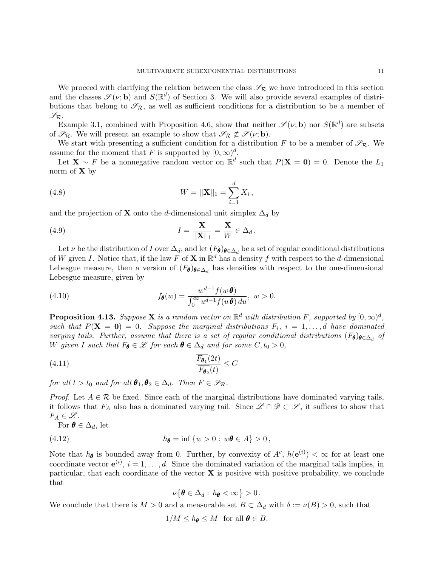We proceed with clarifying the relation between the class  $\mathscr{S}_R$  we have introduced in this section and the classes  $\mathscr{S}(\nu; \mathbf{b})$  and  $S(\mathbb{R}^d)$  of Section 3. We will also provide several examples of distributions that belong to  $\mathscr{S}_{\mathcal{R}}$ , as well as sufficient conditions for a distribution to be a member of  $\mathscr{S}_{\mathcal{R}}.$ 

Example 3.1, combined with Proposition 4.6, show that neither  $\mathscr{S}(\nu; \mathbf{b})$  nor  $S(\mathbb{R}^d)$  are subsets of  $\mathscr{S}_{\mathcal{R}}$ . We will present an example to show that  $\mathscr{S}_{\mathcal{R}} \not\subset \mathscr{S}(\nu; \mathbf{b})$ .

We start with presenting a sufficient condition for a distribution F to be a member of  $\mathscr{S}_{\mathcal{R}}$ . We assume for the moment that F is supported by  $[0, \infty)^d$ .

Let  $\mathbf{X} \sim F$  be a nonnegative random vector on  $\mathbb{R}^d$  such that  $P(\mathbf{X} = \mathbf{0}) = 0$ . Denote the  $L_1$ norm of  $X$  by

(4.8) 
$$
W = ||\mathbf{X}||_1 = \sum_{i=1}^d X_i,
$$

and the projection of **X** onto the d-dimensional unit simplex  $\Delta_d$  by

(4.9) 
$$
I = \frac{\mathbf{X}}{||\mathbf{X}||_1} = \frac{\mathbf{X}}{W} \in \Delta_d.
$$

Let  $\nu$  be the distribution of I over  $\Delta_d$ , and let  $(F_{\theta})_{\theta \in \Delta_d}$  be a set of regular conditional distributions of W given I. Notice that, if the law F of **X** in  $\mathbb{R}^d$  has a density f with respect to the d-dimensional Lebesgue measure, then a version of  $(F_{\theta})_{\theta \in \Delta_d}$  has densities with respect to the one-dimensional Lebesgue measure, given by

(4.10) 
$$
f_{\boldsymbol{\theta}}(w) = \frac{w^{d-1} f(w \boldsymbol{\theta})}{\int_0^\infty u^{d-1} f(u \boldsymbol{\theta}) du}, \ w > 0.
$$

**Proposition 4.13.** Suppose **X** is a random vector on  $\mathbb{R}^d$  with distribution F, supported by  $[0,\infty)^d$ , such that  $P(X = 0) = 0$ . Suppose the marginal distributions  $F_i$ ,  $i = 1, ..., d$  have dominated varying tails. Further, assume that there is a set of regular conditional distributions  $(F_{\theta})_{\theta \in \Delta_d}$  of W given I such that  $F_{\theta} \in \mathscr{L}$  for each  $\theta \in \Delta_d$  and for some  $C, t_0 > 0$ ,

$$
\frac{F_{\theta_1}(2t)}{F_{\theta_2}(t)} \le C
$$

for all  $t > t_0$  and for all  $\theta_1, \theta_2 \in \Delta_d$ . Then  $F \in \mathscr{S}_{\mathcal{R}}$ .

*Proof.* Let  $A \in \mathcal{R}$  be fixed. Since each of the marginal distributions have dominated varying tails, it follows that  $F_A$  also has a dominated varying tail. Since  $\mathscr{L} \cap \mathscr{D} \subset \mathscr{S}$ , it suffices to show that  $F_A \in \mathscr{L}$ .

For 
$$
\boldsymbol{\theta} \in \Delta_d
$$
, let

$$
(4.12) \t\t\t h_{\theta} = \inf \{ w > 0 : w\theta \in A \} > 0,
$$

Note that  $h_{\theta}$  is bounded away from 0. Further, by convexity of  $A^c$ ,  $h(e^{i}) < \infty$  for at least one coordinate vector  $e^{(i)}$ ,  $i = 1, \ldots, d$ . Since the dominated variation of the marginal tails implies, in particular, that each coordinate of the vector  $X$  is positive with positive probability, we conclude that

$$
\nu\{\boldsymbol{\theta}\in\Delta_d:\,h_{\boldsymbol{\theta}}<\infty\}>0\,.
$$

We conclude that there is  $M > 0$  and a measurable set  $B \subset \Delta_d$  with  $\delta := \nu(B) > 0$ , such that

$$
1/M \le h_{\theta} \le M \text{ for all } \theta \in B.
$$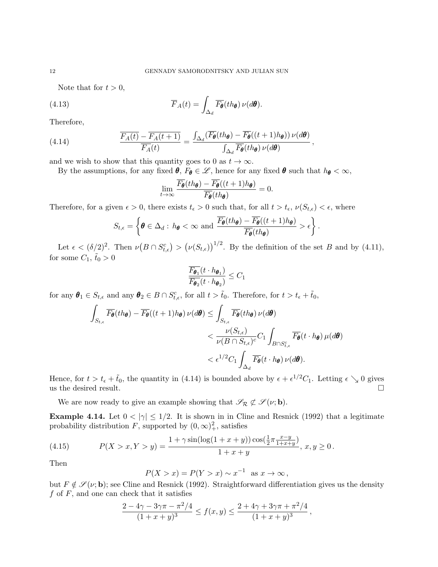Note that for  $t > 0$ ,

(4.13) 
$$
\overline{F}_A(t) = \int_{\Delta_d} \overline{F}_{\theta}(th_{\theta}) \nu(d\theta).
$$

Therefore,

(4.14) 
$$
\frac{\overline{F_A(t)} - \overline{F_A(t+1)}}{\overline{F_A}(t)} = \frac{\int_{\Delta_d} (\overline{F_{\theta}}(th_{\theta}) - \overline{F_{\theta}}((t+1)h_{\theta})) \nu(d\theta)}{\int_{\Delta_d} \overline{F_{\theta}}(th_{\theta}) \nu(d\theta)},
$$

and we wish to show that this quantity goes to 0 as  $t \to \infty$ .

By the assumptions, for any fixed  $\theta$ ,  $F_{\theta} \in \mathcal{L}$ , hence for any fixed  $\theta$  such that  $h_{\theta} < \infty$ ,

$$
\lim_{t\to\infty}\frac{\overline{F_{\boldsymbol{\theta}}}(th_{\boldsymbol{\theta}})-\overline{F_{\boldsymbol{\theta}}}((t+1)h_{\boldsymbol{\theta}})}{\overline{F_{\boldsymbol{\theta}}}(th_{\boldsymbol{\theta}})}=0.
$$

Therefore, for a given  $\epsilon > 0$ , there exists  $t_{\epsilon} > 0$  such that, for all  $t > t_{\epsilon}$ ,  $\nu(S_{t,\epsilon}) < \epsilon$ , where

$$
S_{t,\epsilon} = \left\{ \boldsymbol{\theta} \in \Delta_d : h_{\boldsymbol{\theta}} < \infty \text{ and } \frac{\overline{F_{\boldsymbol{\theta}}}(th_{\boldsymbol{\theta}}) - \overline{F_{\boldsymbol{\theta}}}((t+1)h_{\boldsymbol{\theta}})}{\overline{F_{\boldsymbol{\theta}}}(th_{\boldsymbol{\theta}})} > \epsilon \right\}.
$$

Let  $\epsilon < (\delta/2)^2$ . Then  $\nu(B \cap S_{t,\epsilon}^c) > (\nu(S_{t,\epsilon}))^{1/2}$ . By the definition of the set B and by (4.11), for some  $C_1$ ,  $\tilde{t}_0 > 0$ 

$$
\frac{\overline{F_{\pmb{\theta}_1}}(t \cdot h_{\pmb{\theta}_1})}{\overline{F_{\pmb{\theta}_2}}(t \cdot h_{\pmb{\theta}_2})} \leq C_1
$$

for any  $\boldsymbol{\theta}_1 \in S_{t,\epsilon}$  and any  $\boldsymbol{\theta}_2 \in B \cap S_{t,\epsilon}^c$ , for all  $t > \tilde{t}_0$ . Therefore, for  $t > t_{\epsilon} + \tilde{t}_0$ ,

$$
\int_{S_{t,\epsilon}} \overline{F_{\theta}}(th_{\theta}) - \overline{F_{\theta}}((t+1)h_{\theta}) \nu(d\theta) \le \int_{S_{t,\epsilon}} \overline{F_{\theta}}(th_{\theta}) \nu(d\theta)
$$
\n
$$
< \frac{\nu(S_{t,\epsilon})}{\nu(B \cap S_{t,\epsilon})^c} C_1 \int_{B \cap S_{t,\epsilon}^c} \overline{F_{\theta}}(t \cdot h_{\theta}) \mu(d\theta)
$$
\n
$$
< \epsilon^{1/2} C_1 \int_{\Delta_d} \overline{F_{\theta}}(t \cdot h_{\theta}) \nu(d\theta).
$$

Hence, for  $t > t_{\epsilon} + \tilde{t}_0$ , the quantity in (4.14) is bounded above by  $\epsilon + \epsilon^{1/2}C_1$ . Letting  $\epsilon \searrow 0$  gives us the desired result.  $\Box$ 

We are now ready to give an example showing that  $\mathscr{S}_{\mathcal{R}} \not\subset \mathscr{S}(\nu; \mathbf{b})$ .

**Example 4.14.** Let  $0 < |\gamma| \leq 1/2$ . It is shown in in Cline and Resnick (1992) that a legitimate probability distribution F, supported by  $(0, \infty)_+^2$ , satisfies

(4.15) 
$$
P(X > x, Y > y) = \frac{1 + \gamma \sin(\log(1 + x + y)) \cos(\frac{1}{2}\pi \frac{x - y}{1 + x + y})}{1 + x + y}, x, y \ge 0.
$$

Then

$$
P(X > x) = P(Y > x) \sim x^{-1} \text{ as } x \to \infty,
$$

but  $F \notin \mathscr{S}(\nu; \mathbf{b})$ ; see Cline and Resnick (1992). Straightforward differentiation gives us the density  $f$  of  $F$ , and one can check that it satisfies

$$
\frac{2-4\gamma-3\gamma\pi-\pi^2/4}{(1+x+y)^3} \le f(x,y) \le \frac{2+4\gamma+3\gamma\pi+\pi^2/4}{(1+x+y)^3} \,,
$$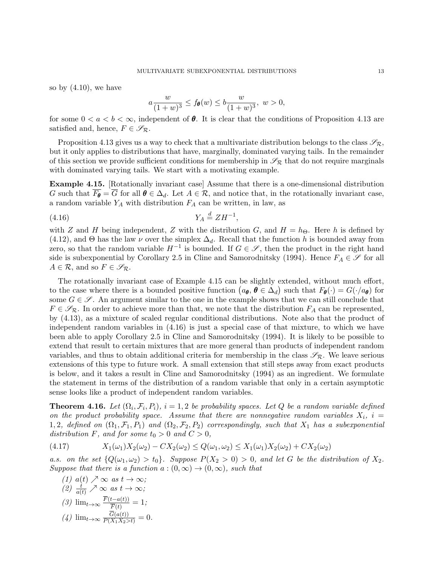so by  $(4.10)$ , we have

$$
a \frac{w}{(1+w)^3} \le f_{\theta}(w) \le b \frac{w}{(1+w)^3}, w > 0,
$$

for some  $0 < a < b < \infty$ , independent of  $\theta$ . It is clear that the conditions of Proposition 4.13 are satisfied and, hence,  $F \in \mathscr{S}_{\mathcal{R}}$ .

Proposition 4.13 gives us a way to check that a multivariate distribution belongs to the class  $\mathscr{S}_{\mathcal{R}}$ , but it only applies to distributions that have, marginally, dominated varying tails. In the remainder of this section we provide sufficient conditions for membership in  $\mathscr{S}_{\mathcal{R}}$  that do not require marginals with dominated varying tails. We start with a motivating example.

Example 4.15. [Rotationally invariant case] Assume that there is a one-dimensional distribution G such that  $\overline{F_{\theta}} = \overline{G}$  for all  $\theta \in \Delta_d$ . Let  $A \in \mathcal{R}$ , and notice that, in the rotationally invariant case, a random variable  $Y_A$  with distribution  $F_A$  can be written, in law, as

$$
(4.16)\t\t Y_A \stackrel{d}{=} ZH^{-1},
$$

with Z and H being independent, Z with the distribution G, and  $H = h_{\Theta}$ . Here h is defined by (4.12), and  $\Theta$  has the law  $\nu$  over the simplex  $\Delta_d$ . Recall that the function h is bounded away from zero, so that the random variable  $H^{-1}$  is bounded. If  $G \in \mathscr{S}$ , then the product in the right hand side is subexponential by Corollary 2.5 in Cline and Samorodnitsky (1994). Hence  $F_A \in \mathscr{S}$  for all  $A \in \mathcal{R}$ , and so  $F \in \mathscr{S}_{\mathcal{R}}$ .

The rotationally invariant case of Example 4.15 can be slightly extended, without much effort, to the case where there is a bounded positive function  $(a_{\theta}, \theta \in \Delta_d)$  such that  $F_{\theta}(\cdot) = G(\cdot/a_{\theta})$  for some  $G \in \mathscr{S}$ . An argument similar to the one in the example shows that we can still conclude that  $F \in \mathscr{S}_{\mathcal{R}}$ . In order to achieve more than that, we note that the distribution  $F_A$  can be represented, by (4.13), as a mixture of scaled regular conditional distributions. Note also that the product of independent random variables in (4.16) is just a special case of that mixture, to which we have been able to apply Corollary 2.5 in Cline and Samorodnitsky (1994). It is likely to be possible to extend that result to certain mixtures that are more general than products of independent random variables, and thus to obtain additional criteria for membership in the class  $\mathscr{S}_{\mathcal{R}}$ . We leave serious extensions of this type to future work. A small extension that still steps away from exact products is below, and it takes a result in Cline and Samorodnitsky (1994) as an ingredient. We formulate the statement in terms of the distribution of a random variable that only in a certain asymptotic sense looks like a product of independent random variables.

**Theorem 4.16.** Let  $(\Omega_i, \mathcal{F}_i, P_i)$ ,  $i = 1, 2$  be probability spaces. Let Q be a random variable defined on the product probability space. Assume that there are nonnegative random variables  $X_i$ ,  $i =$ 1, 2, defined on  $(\Omega_1, \mathcal{F}_1, P_1)$  and  $(\Omega_2, \mathcal{F}_2, P_2)$  correspondingly, such that  $X_1$  has a subexponential distribution F, and for some  $t_0 > 0$  and  $C > 0$ ,

(4.17) 
$$
X_1(\omega_1)X_2(\omega_2) - CX_2(\omega_2) \le Q(\omega_1, \omega_2) \le X_1(\omega_1)X_2(\omega_2) + CX_2(\omega_2)
$$

a.s. on the set  ${Q(\omega_1, \omega_2) > t_0}$ . Suppose  $P(X_2 > 0) > 0$ , and let G be the distribution of  $X_2$ . Suppose that there is a function  $a:(0,\infty) \to (0,\infty)$ , such that

(1) 
$$
a(t) \nearrow \infty
$$
 as  $t \to \infty$ ;  
\n(2)  $\frac{t}{a(t)} \nearrow \infty$  as  $t \to \infty$ ;  
\n(3)  $\lim_{t \to \infty} \frac{\overline{F}(t - a(t))}{\overline{F}(t)} = 1$ ;  
\n(4)  $\lim_{t \to \infty} \frac{\overline{G}(a(t))}{P(X_1 X_2 > t)} = 0$ .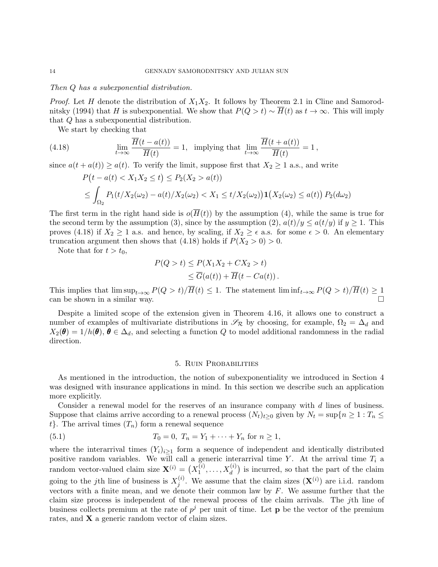#### Then Q has a subexponential distribution.

*Proof.* Let H denote the distribution of  $X_1X_2$ . It follows by Theorem 2.1 in Cline and Samorodnitsky (1994) that H is subexponential. We show that  $P(Q > t) \sim \overline{H}(t)$  as  $t \to \infty$ . This will imply that Q has a subexponential distribution.

We start by checking that

(4.18) 
$$
\lim_{t \to \infty} \frac{\overline{H}(t - a(t))}{\overline{H}(t)} = 1, \text{ implying that } \lim_{t \to \infty} \frac{\overline{H}(t + a(t))}{\overline{H}(t)} = 1,
$$

since  $a(t + a(t)) \ge a(t)$ . To verify the limit, suppose first that  $X_2 \ge 1$  a.s., and write

$$
P(t - a(t) < X_1 X_2 \le t) \le P_2(X_2 > a(t))
$$
\n
$$
\le \int_{\Omega_2} P_1(t/X_2(\omega_2) - a(t)/X_2(\omega_2) < X_1 \le t/X_2(\omega_2)) \mathbf{1}(X_2(\omega_2) \le a(t)) \, P_2(d\omega_2)
$$

The first term in the right hand side is  $o(\overline{H}(t))$  by the assumption (4), while the same is true for the second term by the assumption (3), since by the assumption (2),  $a(t)/y \le a(t/y)$  if  $y \ge 1$ . This proves (4.18) if  $X_2 \geq 1$  a.s. and hence, by scaling, if  $X_2 \geq \epsilon$  a.s. for some  $\epsilon > 0$ . An elementary truncation argument then shows that (4.18) holds if  $P(X_2 > 0) > 0$ .

Note that for  $t > t_0$ ,

$$
P(Q > t) \le P(X_1 X_2 + C X_2 > t)
$$
  
\n
$$
\le \overline{G}(a(t)) + \overline{H}(t - Ca(t)).
$$

This implies that  $\limsup_{t\to\infty} P(Q > t)/\overline{H}(t) \leq 1$ . The statement  $\liminf_{t\to\infty} P(Q > t)/\overline{H}(t) \geq 1$ can be shown in a similar way.

Despite a limited scope of the extension given in Theorem 4.16, it allows one to construct a number of examples of multivariate distributions in  $\mathscr{S}_{\mathcal{R}}$  by choosing, for example,  $\Omega_2 = \Delta_d$  and  $X_2(\theta) = 1/h(\theta), \theta \in \Delta_d$ , and selecting a function Q to model additional randomness in the radial direction.

# 5. Ruin Probabilities

As mentioned in the introduction, the notion of subexponentiality we introduced in Section 4 was designed with insurance applications in mind. In this section we describe such an application more explicitly.

Consider a renewal model for the reserves of an insurance company with d lines of business. Suppose that claims arrive according to a renewal process  $(N_t)_{t\geq0}$  given by  $N_t = \sup\{n \geq 1 : T_n \leq$  $t$ . The arrival times  $(T_n)$  form a renewal sequence

(5.1) 
$$
T_0 = 0, T_n = Y_1 + \dots + Y_n \text{ for } n \ge 1,
$$

where the interarrival times  $(Y_i)_{i\geq 1}$  form a sequence of independent and identically distributed positive random variables. We will call a generic interarrival time Y. At the arrival time  $T_i$  a random vector-valued claim size  $\mathbf{X}^{(i)} = (X_1^{(i)})$  $\mathcal{X}_1^{(i)}, \ldots, \mathcal{X}_d^{(i)}$  is incurred, so that the part of the claim going to the j<sup>th</sup> line of business is  $X_i^{(i)}$  $j^{(i)}$ . We assume that the claim sizes  $(\mathbf{X}^{(i)})$  are i.i.d. random vectors with a finite mean, and we denote their common law by  $F$ . We assume further that the claim size process is independent of the renewal process of the claim arrivals. The jth line of business collects premium at the rate of  $p^j$  per unit of time. Let **p** be the vector of the premium rates, and **X** a generic random vector of claim sizes.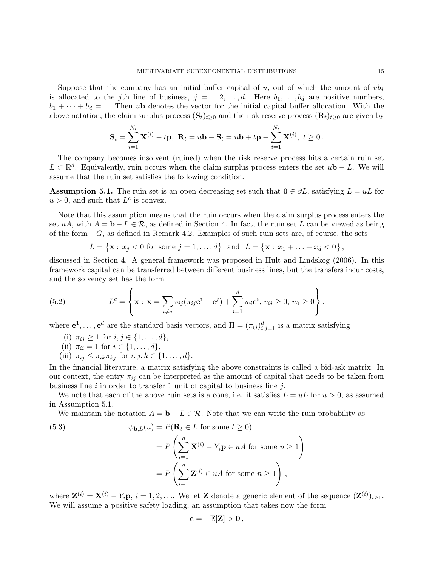Suppose that the company has an initial buffer capital of u, out of which the amount of  $ub_i$ is allocated to the j<sup>th</sup> line of business,  $j = 1, 2, ..., d$ . Here  $b_1, ..., b_d$  are positive numbers,  $b_1 + \cdots + b_d = 1$ . Then ub denotes the vector for the initial capital buffer allocation. With the above notation, the claim surplus process  $(\mathbf{S}_t)_{t\geq 0}$  and the risk reserve process  $(\mathbf{R}_t)_{t\geq 0}$  are given by

$$
\mathbf{S}_{t} = \sum_{i=1}^{N_{t}} \mathbf{X}^{(i)} - t\mathbf{p}, \ \mathbf{R}_{t} = u\mathbf{b} - \mathbf{S}_{t} = u\mathbf{b} + t\mathbf{p} - \sum_{i=1}^{N_{t}} \mathbf{X}^{(i)}, \ t \geq 0.
$$

The company becomes insolvent (ruined) when the risk reserve process hits a certain ruin set  $L \subset \mathbb{R}^d$ . Equivalently, ruin occurs when the claim surplus process enters the set u**b** − L. We will assume that the ruin set satisfies the following condition.

**Assumption 5.1.** The ruin set is an open decreasing set such that  $0 \in \partial L$ , satisfying  $L = uL$  for  $u > 0$ , and such that  $L^c$  is convex.

Note that this assumption means that the ruin occurs when the claim surplus process enters the set uA, with  $A = \mathbf{b} - L \in \mathcal{R}$ , as defined in Section 4. In fact, the ruin set L can be viewed as being of the form  $-G$ , as defined in Remark 4.2. Examples of such ruin sets are, of course, the sets

$$
L = \{ \mathbf{x} : x_j < 0 \text{ for some } j = 1, ..., d \} \text{ and } L = \{ \mathbf{x} : x_1 + ... + x_d < 0 \},
$$

discussed in Section 4. A general framework was proposed in Hult and Lindskog (2006). In this framework capital can be transferred between different business lines, but the transfers incur costs, and the solvency set has the form

(5.2) 
$$
L^{c} = \left\{ \mathbf{x} : \mathbf{x} = \sum_{i \neq j} v_{ij} (\pi_{ij} \mathbf{e}^{i} - \mathbf{e}^{j}) + \sum_{i=1}^{d} w_{i} \mathbf{e}^{i}, v_{ij} \geq 0, w_{i} \geq 0 \right\},
$$

where  $e^1, \ldots, e^d$  are the standard basis vectors, and  $\Pi = (\pi_{ij})_{i,j=1}^d$  is a matrix satisfying

- (i)  $\pi_{ij} \geq 1$  for  $i, j \in \{1, ..., d\},$
- (ii)  $\pi_{ii} = 1$  for  $i \in \{1, ..., d\},\$
- (iii)  $\pi_{ij} \leq \pi_{ik}\pi_{kj}$  for  $i, j, k \in \{1, \ldots, d\}.$

In the financial literature, a matrix satisfying the above constraints is called a bid-ask matrix. In our context, the entry  $\pi_{ij}$  can be interpreted as the amount of capital that needs to be taken from business line  $i$  in order to transfer 1 unit of capital to business line  $j$ .

We note that each of the above ruin sets is a cone, i.e. it satisfies  $L = uL$  for  $u > 0$ , as assumed in Assumption 5.1.

We maintain the notation  $A = \mathbf{b} - L \in \mathcal{R}$ . Note that we can write the ruin probability as

(5.3) 
$$
\psi_{\mathbf{b},L}(u) = P(\mathbf{R}_t \in L \text{ for some } t \ge 0)
$$

$$
= P\left(\sum_{i=1}^n \mathbf{X}^{(i)} - Y_i \mathbf{p} \in uA \text{ for some } n \ge 1\right)
$$

$$
= P\left(\sum_{i=1}^n \mathbf{Z}^{(i)} \in uA \text{ for some } n \ge 1\right),
$$

where  $\mathbf{Z}^{(i)} = \mathbf{X}^{(i)} - Y_i \mathbf{p}, i = 1, 2, \dots$  We let Z denote a generic element of the sequence  $(\mathbf{Z}^{(i)})_{i \geq 1}$ . We will assume a positive safety loading, an assumption that takes now the form

$$
\mathbf{c}=-\mathbb{E}[\mathbf{Z}]>0\,,
$$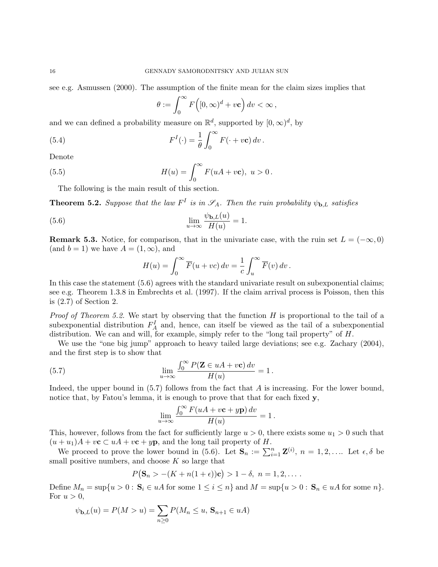see e.g. Asmussen (2000). The assumption of the finite mean for the claim sizes implies that

$$
\theta := \int_0^\infty F\Big([0,\infty)^d + v\mathbf{c}\Big)\,dv < \infty\,,
$$

and we can defined a probability measure on  $\mathbb{R}^d$ , supported by  $[0,\infty)^d$ , by

(5.4) 
$$
F^{I}(\cdot) = \frac{1}{\theta} \int_{0}^{\infty} F(\cdot + v \mathbf{c}) dv.
$$

Denote

(5.5) 
$$
H(u) = \int_0^\infty F(uA + v\mathbf{c}), \ u > 0.
$$

The following is the main result of this section.

**Theorem 5.2.** Suppose that the law  $F^I$  is in  $\mathscr{S}_A$ . Then the ruin probability  $\psi_{\mathbf{b},L}$  satisfies

(5.6) 
$$
\lim_{u \to \infty} \frac{\psi_{\mathbf{b},L}(u)}{H(u)} = 1.
$$

**Remark 5.3.** Notice, for comparison, that in the univariate case, with the ruin set  $L = (-\infty, 0)$ (and  $b = 1$ ) we have  $A = (1, \infty)$ , and

$$
H(u) = \int_0^\infty \overline{F}(u+vc) dv = \frac{1}{c} \int_u^\infty \overline{F}(v) dv.
$$

In this case the statement (5.6) agrees with the standard univariate result on subexponential claims; see e.g. Theorem 1.3.8 in Embrechts et al. (1997). If the claim arrival process is Poisson, then this is (2.7) of Section 2.

*Proof of Theorem 5.2.* We start by observing that the function  $H$  is proportional to the tail of a subexponential distribution  $F_A^I$  and, hence, can itself be viewed as the tail of a subexponential distribution. We can and will, for example, simply refer to the "long tail property" of H.

We use the "one big jump" approach to heavy tailed large deviations; see e.g. Zachary (2004), and the first step is to show that

(5.7) 
$$
\lim_{u \to \infty} \frac{\int_0^\infty P(\mathbf{Z} \in uA + v\mathbf{c}) dv}{H(u)} = 1.
$$

Indeed, the upper bound in (5.7) follows from the fact that A is increasing. For the lower bound, notice that, by Fatou's lemma, it is enough to prove that that for each fixed y,

$$
\lim_{u \to \infty} \frac{\int_0^\infty F(uA + v\mathbf{c} + y\mathbf{p}) dv}{H(u)} = 1.
$$

This, however, follows from the fact for sufficiently large  $u > 0$ , there exists some  $u_1 > 0$  such that  $(u + u_1)A + v\mathbf{c} \subset uA + v\mathbf{c} + y\mathbf{p}$ , and the long tail property of H.

We proceed to prove the lower bound in (5.6). Let  $\mathbf{S}_n := \sum_{i=1}^n \mathbf{Z}^{(i)}$ ,  $n = 1, 2, \ldots$  Let  $\epsilon, \delta$  be small positive numbers, and choose  $K$  so large that

$$
P(S_n > -(K + n(1 + \epsilon))c) > 1 - \delta, n = 1, 2, ...
$$

Define  $M_n = \sup\{u > 0 : \mathbf{S}_i \in u\}$  for some  $1 \leq i \leq n\}$  and  $M = \sup\{u > 0 : \mathbf{S}_n \in u\}$  for some  $n\}.$ For  $u > 0$ ,

$$
\psi_{\mathbf{b},L}(u) = P(M > u) = \sum_{n \geq 0} P(M_n \leq u, \mathbf{S}_{n+1} \in uA)
$$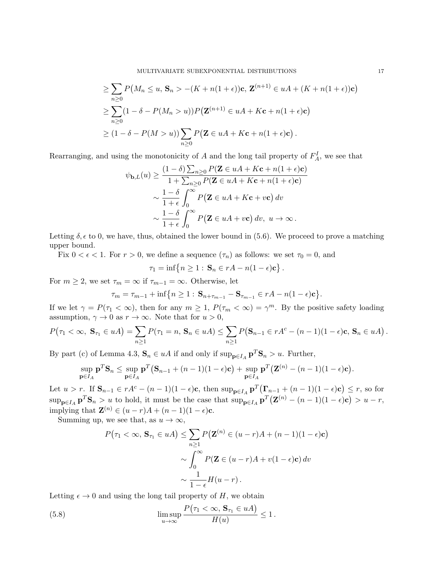$$
\geq \sum_{n\geq 0} P\big(M_n \leq u, \mathbf{S}_n > -(K + n(1 + \epsilon))\mathbf{c}, \mathbf{Z}^{(n+1)} \in uA + (K + n(1 + \epsilon))\mathbf{c}\big)
$$
  
\n
$$
\geq \sum_{n\geq 0} (1 - \delta - P(M_n > u)) P\big(\mathbf{Z}^{(n+1)} \in uA + K\mathbf{c} + n(1 + \epsilon)\mathbf{c}\big)
$$
  
\n
$$
\geq (1 - \delta - P(M > u)) \sum_{n\geq 0} P\big(\mathbf{Z} \in uA + K\mathbf{c} + n(1 + \epsilon)\mathbf{c}\big).
$$

Rearranging, and using the monotonicity of  $A$  and the long tail property of  $F_A^I$ , we see that

$$
\psi_{\mathbf{b},L}(u) \geq \frac{(1-\delta)\sum_{n\geq 0} P(\mathbf{Z} \in uA + K\mathbf{c} + n(1+\epsilon)\mathbf{c})}{1+\sum_{n\geq 0} P(\mathbf{Z} \in uA + K\mathbf{c} + n(1+\epsilon)\mathbf{c})}
$$

$$
\sim \frac{1-\delta}{1+\epsilon} \int_0^\infty P(\mathbf{Z} \in uA + K\mathbf{c} + v\mathbf{c}) dv
$$

$$
\sim \frac{1-\delta}{1+\epsilon} \int_0^\infty P(\mathbf{Z} \in uA + v\mathbf{c}) dv, u \to \infty.
$$

Letting  $\delta$ ,  $\epsilon$  to 0, we have, thus, obtained the lower bound in (5.6). We proceed to prove a matching upper bound.

Fix  $0 < \epsilon < 1$ . For  $r > 0$ , we define a sequence  $(\tau_n)$  as follows: we set  $\tau_0 = 0$ , and

$$
\tau_1 = \inf \{ n \ge 1 : \mathbf{S}_n \in rA - n(1 - \epsilon)\mathbf{c} \} .
$$

For  $m \geq 2$ , we set  $\tau_m = \infty$  if  $\tau_{m-1} = \infty$ . Otherwise, let

$$
\tau_m = \tau_{m-1} + \inf \{ n \ge 1 : \mathbf{S}_{n+\tau_{m-1}} - \mathbf{S}_{\tau_{m-1}} \in rA - n(1-\epsilon)\mathbf{c} \}.
$$

If we let  $\gamma = P(\tau_1 < \infty)$ , then for any  $m \ge 1$ ,  $P(\tau_m < \infty) = \gamma^m$ . By the positive safety loading assumption,  $\gamma \to 0$  as  $r \to \infty$ . Note that for  $u > 0$ ,

$$
P(\tau_1 < \infty, \ S_{\tau_1} \in uA) = \sum_{n \geq 1} P(\tau_1 = n, \ S_n \in uA) \leq \sum_{n \geq 1} P(S_{n-1} \in rA^c - (n-1)(1-\epsilon)\mathbf{c}, \ S_n \in uA).
$$

By part (c) of Lemma 4.3,  $\mathbf{S}_n \in uA$  if and only if  $\sup_{\mathbf{p} \in I_A} \mathbf{p}^T \mathbf{S}_n > u$ . Further,

$$
\sup_{\mathbf{p}\in I_A}\mathbf{p}^T\mathbf{S}_n \leq \sup_{\mathbf{p}\in I_A}\mathbf{p}^T(\mathbf{S}_{n-1}+(n-1)(1-\epsilon)\mathbf{c}) + \sup_{\mathbf{p}\in I_A}\mathbf{p}^T(\mathbf{Z}^{(n)}-(n-1)(1-\epsilon)\mathbf{c}).
$$

Let  $u > r$ . If  $\mathbf{S}_{n-1} \in rA^c - (n-1)(1-\epsilon)\mathbf{c}$ , then  $\sup_{\mathbf{p} \in I_A} \mathbf{p}^T(\mathbf{\Gamma}_{n-1} + (n-1)(1-\epsilon)\mathbf{c}) \le r$ , so for  $\sup_{\mathbf{p}\in I_A} \mathbf{p}^T \mathbf{S}_n > u$  to hold, it must be the case that  $\sup_{\mathbf{p}\in I_A} \mathbf{p}^T (\mathbf{Z}^{(n)} - (n-1)(1-\epsilon)\mathbf{c}) > u-r$ , implying that  $\mathbf{Z}^{(n)} \in (u-r)A + (n-1)(1-\epsilon)\mathbf{c}$ .

Summing up, we see that, as  $u \to \infty$ ,

$$
P(\tau_1 < \infty, \mathbf{S}_{\tau_1} \in uA) \le \sum_{n \ge 1} P(\mathbf{Z}^{(n)} \in (u-r)A + (n-1)(1-\epsilon)\mathbf{c})
$$
\n
$$
\sim \int_0^\infty P(\mathbf{Z} \in (u-r)A + v(1-\epsilon)\mathbf{c}) \, dv
$$
\n
$$
\sim \frac{1}{1-\epsilon} H(u-r).
$$

Letting  $\epsilon \to 0$  and using the long tail property of H, we obtain

(5.8) 
$$
\limsup_{u \to \infty} \frac{P(\tau_1 < \infty, \mathbf{S}_{\tau_1} \in uA)}{H(u)} \le 1.
$$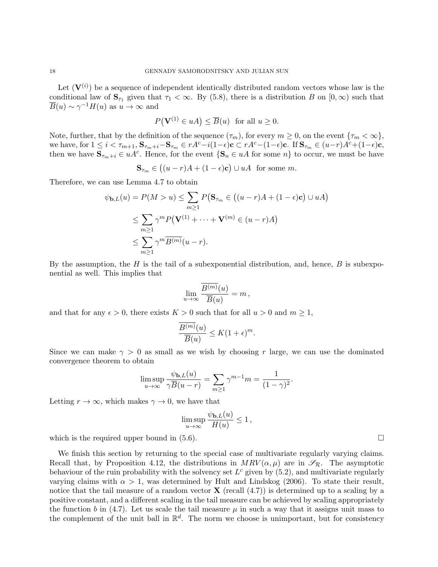Let  $(\mathbf{V}^{(i)})$  be a sequence of independent identically distributed random vectors whose law is the conditional law of  $\mathbf{S}_{\tau_1}$  given that  $\tau_1 < \infty$ . By (5.8), there is a distribution B on  $[0, \infty)$  such that  $\overline{B}(u) \sim \gamma^{-1} H(u)$  as  $u \to \infty$  and

$$
P(\mathbf{V}^{(1)} \in uA) \le \overline{B}(u) \text{ for all } u \ge 0.
$$

Note, further, that by the definition of the sequence  $(\tau_m)$ , for every  $m \geq 0$ , on the event  $\{\tau_m < \infty\}$ , we have, for  $1 \leq i < \tau_{m+1}$ ,  $\mathbf{S}_{\tau_m+i}-\mathbf{S}_{\tau_m} \in rA^c-i(1-\epsilon)\mathbf{c} \subset rA^c-(1-\epsilon)\mathbf{c}$ . If  $\mathbf{S}_{\tau_m} \in (u-r)A^c+(1-\epsilon)\mathbf{c}$ , then we have  $\mathbf{S}_{\tau_m+i} \in uA^c$ . Hence, for the event  $\{\mathbf{S}_n \in uA$  for some  $n\}$  to occur, we must be have

$$
\mathbf{S}_{\tau_m} \in ((u-r)A + (1-\epsilon)\mathbf{c}) \cup uA \text{ for some } m.
$$

Therefore, we can use Lemma 4.7 to obtain

$$
\psi_{\mathbf{b},L}(u) = P(M > u) \le \sum_{m \ge 1} P(\mathbf{S}_{\tau_m} \in ((u - r)A + (1 - \epsilon)\mathbf{c}) \cup uA)
$$
  

$$
\le \sum_{m \ge 1} \gamma^m P(\mathbf{V}^{(1)} + \dots + \mathbf{V}^{(m)} \in (u - r)A)
$$
  

$$
\le \sum_{m \ge 1} \gamma^m \overline{B^{(m)}}(u - r).
$$

By the assumption, the H is the tail of a subexponential distribution, and, hence,  $B$  is subexponential as well. This implies that

$$
\lim_{u \to \infty} \frac{B^{(m)}(u)}{\overline{B}(u)} = m,
$$

and that for any  $\epsilon > 0$ , there exists  $K > 0$  such that for all  $u > 0$  and  $m \ge 1$ ,

$$
\frac{\overline{B^{(m)}}(u)}{\overline{B}(u)} \le K(1+\epsilon)^m.
$$

Since we can make  $\gamma > 0$  as small as we wish by choosing r large, we can use the dominated convergence theorem to obtain

$$
\limsup_{u \to \infty} \frac{\psi_{\mathbf{b},L}(u)}{\gamma \overline{B}(u-r)} = \sum_{m \ge 1} \gamma^{m-1} m = \frac{1}{(1-\gamma)^2}.
$$

Letting  $r \to \infty$ , which makes  $\gamma \to 0$ , we have that

$$
\limsup_{u\to\infty}\frac{\psi_{{\mathbf{b}},L}(u)}{H(u)}\leq 1\,,
$$

which is the required upper bound in  $(5.6)$ .

We finish this section by returning to the special case of multivariate regularly varying claims. Recall that, by Proposition 4.12, the distributions in  $MRV(\alpha,\mu)$  are in  $\mathscr{S}_R$ . The asymptotic behaviour of the ruin probability with the solvency set  $L^c$  given by  $(5.2)$ , and multivariate regularly varying claims with  $\alpha > 1$ , was determined by Hult and Lindskog (2006). To state their result, notice that the tail measure of a random vector **X** (recall  $(4.7)$ ) is determined up to a scaling by a positive constant, and a different scaling in the tail measure can be achieved by scaling appropriately the function b in (4.7). Let us scale the tail measure  $\mu$  in such a way that it assigns unit mass to the complement of the unit ball in  $\mathbb{R}^d$ . The norm we choose is unimportant, but for consistency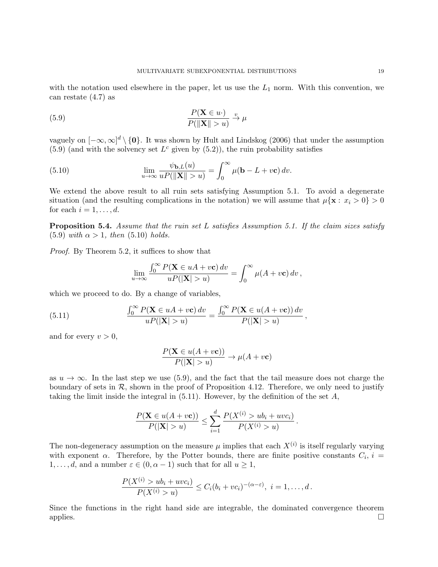with the notation used elsewhere in the paper, let us use the  $L_1$  norm. With this convention, we can restate (4.7) as

(5.9) 
$$
\frac{P(\mathbf{X} \in u \cdot)}{P(\|\mathbf{X}\| > u)} \xrightarrow{v} \mu
$$

vaguely on  $[-\infty,\infty]^d \setminus \{0\}$ . It was shown by Hult and Lindskog (2006) that under the assumption  $(5.9)$  (and with the solvency set  $L^c$  given by  $(5.2)$ ), the ruin probability satisfies

(5.10) 
$$
\lim_{u \to \infty} \frac{\psi_{\mathbf{b},L}(u)}{uP(\|\mathbf{X}\| > u)} = \int_0^\infty \mu(\mathbf{b} - L + v\mathbf{c}) dv.
$$

We extend the above result to all ruin sets satisfying Assumption 5.1. To avoid a degenerate situation (and the resulting complications in the notation) we will assume that  $\mu\{\mathbf{x}: x_i > 0\} > 0$ for each  $i = 1, \ldots, d$ .

**Proposition 5.4.** Assume that the ruin set L satisfies Assumption 5.1. If the claim sizes satisfy (5.9) with  $\alpha > 1$ , then (5.10) holds.

Proof. By Theorem 5.2, it suffices to show that

$$
\lim_{u \to \infty} \frac{\int_0^\infty P(\mathbf{X} \in uA + v\mathbf{c}) dv}{uP(|\mathbf{X}| > u)} = \int_0^\infty \mu(A + v\mathbf{c}) dv,
$$

which we proceed to do. By a change of variables,

(5.11) 
$$
\frac{\int_0^\infty P(\mathbf{X} \in uA + v\mathbf{c}) dv}{uP(|\mathbf{X}| > u)} = \frac{\int_0^\infty P(\mathbf{X} \in u(A + v\mathbf{c})) dv}{P(|\mathbf{X}| > u)},
$$

and for every  $v > 0$ ,

$$
\frac{P(\mathbf{X} \in u(A + v\mathbf{c}))}{P(|\mathbf{X}| > u)} \to \mu(A + v\mathbf{c})
$$

as  $u \to \infty$ . In the last step we use (5.9), and the fact that the tail measure does not charge the boundary of sets in  $\mathcal{R}$ , shown in the proof of Proposition 4.12. Therefore, we only need to justify taking the limit inside the integral in  $(5.11)$ . However, by the definition of the set A,

$$
\frac{P(\mathbf{X} \in u(A + v\mathbf{c}))}{P(|\mathbf{X}| > u)} \le \sum_{i=1}^{d} \frac{P(X^{(i)} > ub_i + uvc_i)}{P(X^{(i)} > u)}.
$$

The non-degeneracy assumption on the measure  $\mu$  implies that each  $X^{(i)}$  is itself regularly varying with exponent  $\alpha$ . Therefore, by the Potter bounds, there are finite positive constants  $C_i$ ,  $i =$  $1, \ldots, d$ , and a number  $\varepsilon \in (0, \alpha - 1)$  such that for all  $u \geq 1$ ,

$$
\frac{P(X^{(i)} > ub_i + uvc_i)}{P(X^{(i)} > u)} \leq C_i(b_i + vc_i)^{-(\alpha - \varepsilon)}, \ i = 1, ..., d.
$$

Since the functions in the right hand side are integrable, the dominated convergence theorem applies.  $\Box$